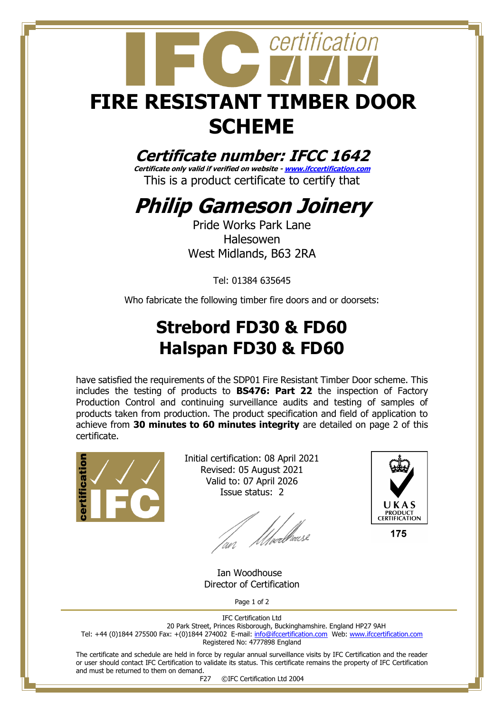# certification **FIRE RESISTANT TIMBER DOOR SCHEME**

#### **Certificate number: IFCC 1642**

**Certificate only valid if verified on website - [www.ifccertification.com](http://www.ifccertification.com/)** This is a product certificate to certify that

## **Philip Gameson Joinery**

Pride Works Park Lane Halesowen West Midlands, B63 2RA

Tel: 01384 635645

Who fabricate the following timber fire doors and or doorsets:

### **Strebord FD30 & FD60 Halspan FD30 & FD60**

have satisfied the requirements of the SDP01 Fire Resistant Timber Door scheme. This includes the testing of products to **BS476: Part 22** the inspection of Factory Production Control and continuing surveillance audits and testing of samples of products taken from production. The product specification and field of application to achieve from **30 minutes to 60 minutes integrity** are detailed on page 2 of this certificate.



Initial certification: 08 April 2021 Revised: 05 August 2021 Valid to: 07 April 2026 Issue status: 2

lan Moedhouse



 Ian Woodhouse Director of Certification

Page 1 of 2

IFC Certification Ltd 20 Park Street, Princes Risborough, Buckinghamshire. England HP27 9AH Tel: +44 (0)1844 275500 Fax: +(0)1844 274002 E-mail[: info@ifccertification.com](mailto:info@ifccertification.com) Web: [www.ifccertification.com](http://www.ifccertification.com/) Registered No: 4777898 England

The certificate and schedule are held in force by regular annual surveillance visits by IFC Certification and the reader or user should contact IFC Certification to validate its status. This certificate remains the property of IFC Certification and must be returned to them on demand.

F27 ©IFC Certification Ltd 2004